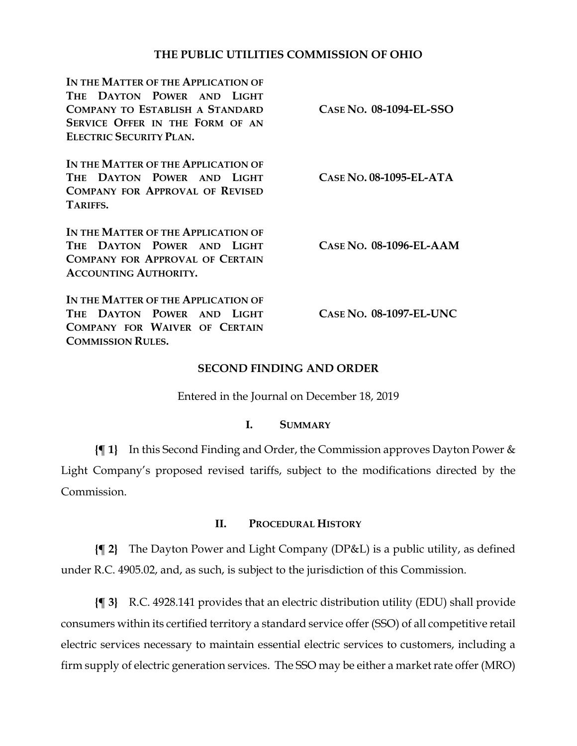## **THE PUBLIC UTILITIES COMMISSION OF OHIO**

| IN THE MATTER OF THE APPLICATION OF<br>THE DAYTON POWER AND LIGHT<br><b>COMPANY TO ESTABLISH A STANDARD</b><br>SERVICE OFFER IN THE FORM OF AN<br><b>ELECTRIC SECURITY PLAN.</b> | CASE NO. 08-1094-EL-SSO   |
|----------------------------------------------------------------------------------------------------------------------------------------------------------------------------------|---------------------------|
| IN THE MATTER OF THE APPLICATION OF<br>THE DAYTON POWER AND LIGHT<br><b>COMPANY FOR APPROVAL OF REVISED</b><br>TARIFFS.                                                          | CASE NO. 08-1095-EL-ATA   |
| IN THE MATTER OF THE APPLICATION OF<br>THE DAYTON POWER AND LIGHT<br><b>COMPANY FOR APPROVAL OF CERTAIN</b><br><b>ACCOUNTING AUTHORITY.</b>                                      | $CASE No. 08-1096-EL-AAM$ |
| IN THE MATTER OF THE APPLICATION OF<br>THE DAYTON POWER AND LIGHT<br>COMPANY FOR WAIVER OF CERTAIN<br><b>COMMISSION RULES.</b>                                                   | CASE NO. 08-1097-EL-UNC   |

### **SECOND FINDING AND ORDER**

Entered in the Journal on December 18, 2019

#### **I. SUMMARY**

**{¶ 1}** In this Second Finding and Order, the Commission approves Dayton Power & Light Company's proposed revised tariffs, subject to the modifications directed by the Commission.

## **II. PROCEDURAL HISTORY**

**{¶ 2}** The Dayton Power and Light Company (DP&L) is a public utility, as defined under R.C. 4905.02, and, as such, is subject to the jurisdiction of this Commission.

**{¶ 3}** R.C. 4928.141 provides that an electric distribution utility (EDU) shall provide consumers within its certified territory a standard service offer (SSO) of all competitive retail electric services necessary to maintain essential electric services to customers, including a firm supply of electric generation services. The SSO may be either a market rate offer (MRO)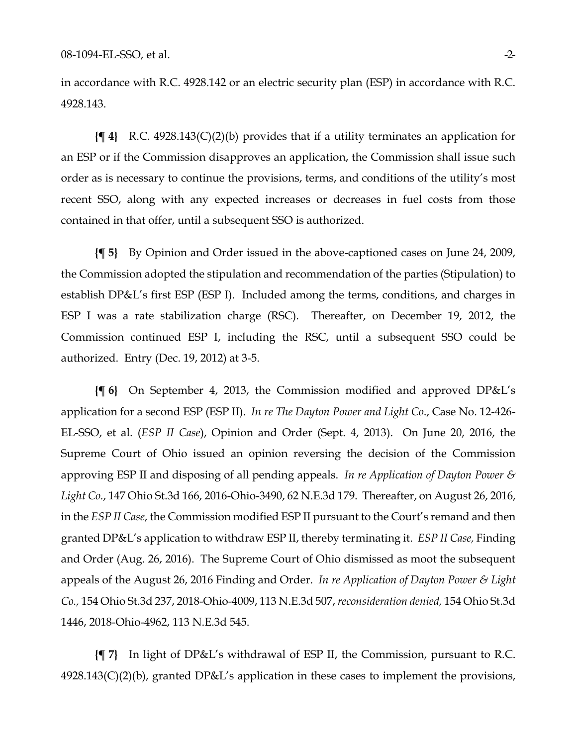in accordance with R.C. 4928.142 or an electric security plan (ESP) in accordance with R.C. 4928.143.

**{¶ 4}** R.C. 4928.143(C)(2)(b) provides that if a utility terminates an application for an ESP or if the Commission disapproves an application, the Commission shall issue such order as is necessary to continue the provisions, terms, and conditions of the utility's most recent SSO, along with any expected increases or decreases in fuel costs from those contained in that offer, until a subsequent SSO is authorized.

**{¶ 5}** By Opinion and Order issued in the above-captioned cases on June 24, 2009, the Commission adopted the stipulation and recommendation of the parties (Stipulation) to establish DP&L's first ESP (ESP I). Included among the terms, conditions, and charges in ESP I was a rate stabilization charge (RSC). Thereafter, on December 19, 2012, the Commission continued ESP I, including the RSC, until a subsequent SSO could be authorized. Entry (Dec. 19, 2012) at 3-5.

**{¶ 6}** On September 4, 2013, the Commission modified and approved DP&L's application for a second ESP (ESP II). *In re The Dayton Power and Light Co*., Case No. 12-426- EL-SSO, et al. (*ESP II Case*), Opinion and Order (Sept. 4, 2013). On June 20, 2016, the Supreme Court of Ohio issued an opinion reversing the decision of the Commission approving ESP II and disposing of all pending appeals. *In re Application of Dayton Power & Light Co.*, 147 Ohio St.3d 166, 2016-Ohio-3490, 62 N.E.3d 179. Thereafter, on August 26, 2016, in the *ESP II Case*, the Commission modified ESP II pursuant to the Court's remand and then granted DP&L's application to withdraw ESP II, thereby terminating it. *ESP II Case,* Finding and Order (Aug. 26, 2016). The Supreme Court of Ohio dismissed as moot the subsequent appeals of the August 26, 2016 Finding and Order. *In re Application of Dayton Power & Light Co.,* 154 Ohio St.3d 237, 2018-Ohio-4009, 113 N.E.3d 507,*reconsideration denied,* 154 Ohio St.3d 1446, 2018-Ohio-4962, 113 N.E.3d 545.

**{¶ 7}** In light of DP&L's withdrawal of ESP II, the Commission, pursuant to R.C.  $4928.143(C)(2)(b)$ , granted DP&L's application in these cases to implement the provisions,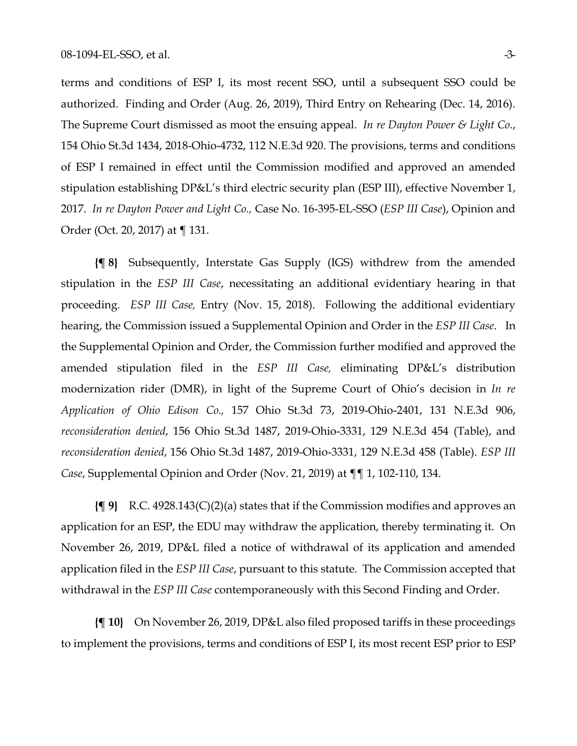terms and conditions of ESP I, its most recent SSO, until a subsequent SSO could be authorized. Finding and Order (Aug. 26, 2019), Third Entry on Rehearing (Dec. 14, 2016). The Supreme Court dismissed as moot the ensuing appeal. *In re Dayton Power & Light Co*., 154 Ohio St.3d 1434, 2018-Ohio-4732, 112 N.E.3d 920. The provisions, terms and conditions of ESP I remained in effect until the Commission modified and approved an amended stipulation establishing DP&L's third electric security plan (ESP III), effective November 1, 2017. *In re Dayton Power and Light Co.,* Case No. 16-395-EL-SSO (*ESP III Case*), Opinion and Order (Oct. 20, 2017) at ¶ 131.

**{¶ 8}** Subsequently, Interstate Gas Supply (IGS) withdrew from the amended stipulation in the *ESP III Case*, necessitating an additional evidentiary hearing in that proceeding*. ESP III Case,* Entry (Nov. 15, 2018). Following the additional evidentiary hearing, the Commission issued a Supplemental Opinion and Order in the *ESP III Case*. In the Supplemental Opinion and Order, the Commission further modified and approved the amended stipulation filed in the *ESP III Case,* eliminating DP&L's distribution modernization rider (DMR), in light of the Supreme Court of Ohio's decision in *In re Application of Ohio Edison Co.,* 157 Ohio St.3d 73, 2019-Ohio-2401, 131 N.E.3d 906, *reconsideration denied*, 156 Ohio St.3d 1487, 2019-Ohio-3331, 129 N.E.3d 454 (Table), and *reconsideration denied*, 156 Ohio St.3d 1487, 2019-Ohio-3331, 129 N.E.3d 458 (Table). *ESP III Case*, Supplemental Opinion and Order (Nov. 21, 2019) at ¶¶ 1, 102-110, 134.

**{¶ 9}** R.C. 4928.143(C)(2)(a) states that if the Commission modifies and approves an application for an ESP, the EDU may withdraw the application, thereby terminating it. On November 26, 2019, DP&L filed a notice of withdrawal of its application and amended application filed in the *ESP III Case*, pursuant to this statute. The Commission accepted that withdrawal in the *ESP III Case* contemporaneously with this Second Finding and Order.

**{¶ 10}** On November 26, 2019, DP&L also filed proposed tariffs in these proceedings to implement the provisions, terms and conditions of ESP I, its most recent ESP prior to ESP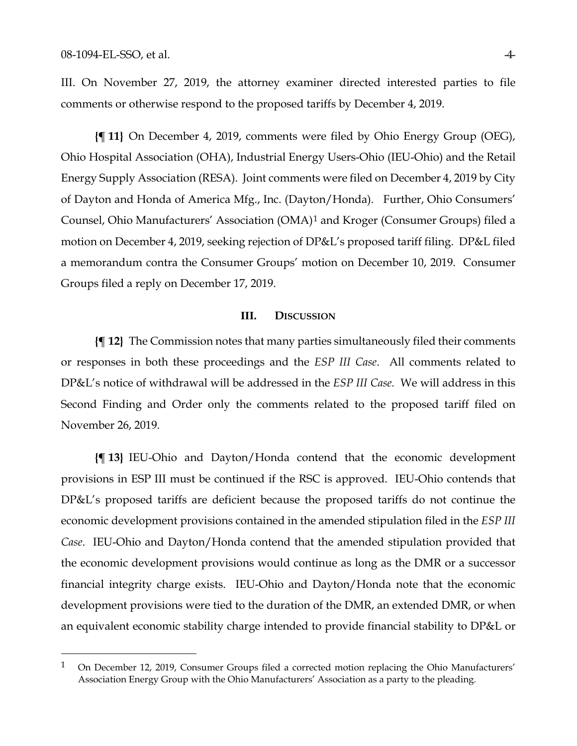$\overline{a}$ 

III. On November 27, 2019, the attorney examiner directed interested parties to file comments or otherwise respond to the proposed tariffs by December 4, 2019.

**{¶ 11}** On December 4, 2019, comments were filed by Ohio Energy Group (OEG), Ohio Hospital Association (OHA), Industrial Energy Users-Ohio (IEU-Ohio) and the Retail Energy Supply Association (RESA). Joint comments were filed on December 4, 2019 by City of Dayton and Honda of America Mfg., Inc. (Dayton/Honda). Further, Ohio Consumers' Counsel, Ohio Manufacturers' Association (OMA)[1](#page-3-0) and Kroger (Consumer Groups) filed a motion on December 4, 2019, seeking rejection of DP&L's proposed tariff filing. DP&L filed a memorandum contra the Consumer Groups' motion on December 10, 2019. Consumer Groups filed a reply on December 17, 2019.

#### **III. DISCUSSION**

**{¶ 12}** The Commission notes that many parties simultaneously filed their comments or responses in both these proceedings and the *ESP III Case*. All comments related to DP&L's notice of withdrawal will be addressed in the *ESP III Case.* We will address in this Second Finding and Order only the comments related to the proposed tariff filed on November 26, 2019.

**{¶ 13}** IEU-Ohio and Dayton/Honda contend that the economic development provisions in ESP III must be continued if the RSC is approved. IEU-Ohio contends that DP&L's proposed tariffs are deficient because the proposed tariffs do not continue the economic development provisions contained in the amended stipulation filed in the *ESP III Case*. IEU-Ohio and Dayton/Honda contend that the amended stipulation provided that the economic development provisions would continue as long as the DMR or a successor financial integrity charge exists. IEU-Ohio and Dayton/Honda note that the economic development provisions were tied to the duration of the DMR, an extended DMR, or when an equivalent economic stability charge intended to provide financial stability to DP&L or

<span id="page-3-0"></span><sup>&</sup>lt;sup>1</sup> On December 12, 2019, Consumer Groups filed a corrected motion replacing the Ohio Manufacturers' Association Energy Group with the Ohio Manufacturers' Association as a party to the pleading.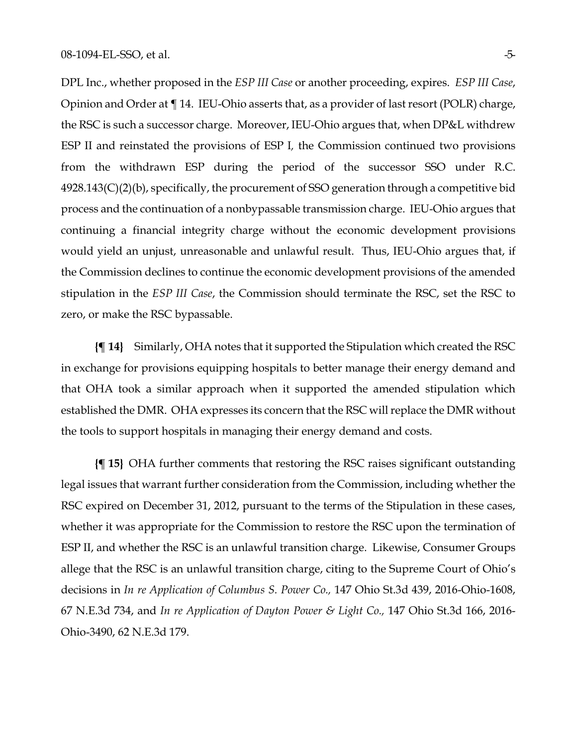DPL Inc., whether proposed in the *ESP III Case* or another proceeding, expires. *ESP III Case*, Opinion and Order at ¶ 14. IEU-Ohio asserts that, as a provider of last resort (POLR) charge, the RSC is such a successor charge. Moreover, IEU-Ohio argues that, when DP&L withdrew ESP II and reinstated the provisions of ESP I*,* the Commission continued two provisions from the withdrawn ESP during the period of the successor SSO under R.C. 4928.143(C)(2)(b), specifically, the procurement of SSO generation through a competitive bid process and the continuation of a nonbypassable transmission charge. IEU-Ohio argues that continuing a financial integrity charge without the economic development provisions would yield an unjust, unreasonable and unlawful result. Thus, IEU-Ohio argues that, if the Commission declines to continue the economic development provisions of the amended stipulation in the *ESP III Case*, the Commission should terminate the RSC, set the RSC to zero, or make the RSC bypassable.

**{¶ 14}** Similarly, OHA notes that it supported the Stipulation which created the RSC in exchange for provisions equipping hospitals to better manage their energy demand and that OHA took a similar approach when it supported the amended stipulation which established the DMR. OHA expresses its concern that the RSC will replace the DMR without the tools to support hospitals in managing their energy demand and costs.

**{¶ 15}** OHA further comments that restoring the RSC raises significant outstanding legal issues that warrant further consideration from the Commission, including whether the RSC expired on December 31, 2012, pursuant to the terms of the Stipulation in these cases, whether it was appropriate for the Commission to restore the RSC upon the termination of ESP II, and whether the RSC is an unlawful transition charge. Likewise, Consumer Groups allege that the RSC is an unlawful transition charge, citing to the Supreme Court of Ohio's decisions in *In re Application of Columbus S. Power Co.,* 147 Ohio St.3d 439, 2016-Ohio-1608, 67 N.E.3d 734, and *In re Application of Dayton Power & Light Co.,* 147 Ohio St.3d 166, 2016- Ohio-3490, 62 N.E.3d 179.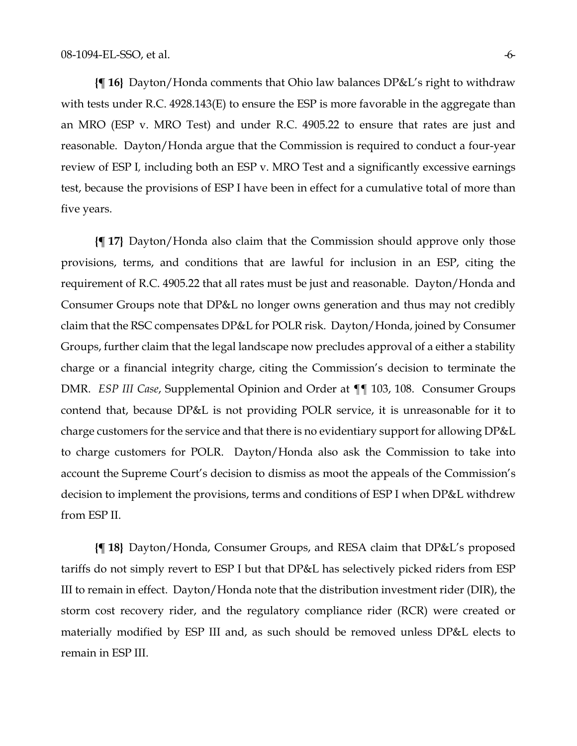**{¶ 16}** Dayton/Honda comments that Ohio law balances DP&L's right to withdraw with tests under R.C. 4928.143(E) to ensure the ESP is more favorable in the aggregate than an MRO (ESP v. MRO Test) and under R.C. 4905.22 to ensure that rates are just and reasonable. Dayton/Honda argue that the Commission is required to conduct a four-year review of ESP I*,* including both an ESP v. MRO Test and a significantly excessive earnings test, because the provisions of ESP I have been in effect for a cumulative total of more than five years.

**{¶ 17}** Dayton/Honda also claim that the Commission should approve only those provisions, terms, and conditions that are lawful for inclusion in an ESP, citing the requirement of R.C. 4905.22 that all rates must be just and reasonable. Dayton/Honda and Consumer Groups note that DP&L no longer owns generation and thus may not credibly claim that the RSC compensates DP&L for POLR risk. Dayton/Honda, joined by Consumer Groups, further claim that the legal landscape now precludes approval of a either a stability charge or a financial integrity charge, citing the Commission's decision to terminate the DMR. *ESP III Case*, Supplemental Opinion and Order at ¶¶ 103, 108. Consumer Groups contend that, because DP&L is not providing POLR service, it is unreasonable for it to charge customers for the service and that there is no evidentiary support for allowing DP&L to charge customers for POLR. Dayton/Honda also ask the Commission to take into account the Supreme Court's decision to dismiss as moot the appeals of the Commission's decision to implement the provisions, terms and conditions of ESP I when DP&L withdrew from ESP II.

**{¶ 18}** Dayton/Honda, Consumer Groups, and RESA claim that DP&L's proposed tariffs do not simply revert to ESP I but that DP&L has selectively picked riders from ESP III to remain in effect. Dayton/Honda note that the distribution investment rider (DIR), the storm cost recovery rider, and the regulatory compliance rider (RCR) were created or materially modified by ESP III and, as such should be removed unless DP&L elects to remain in ESP III.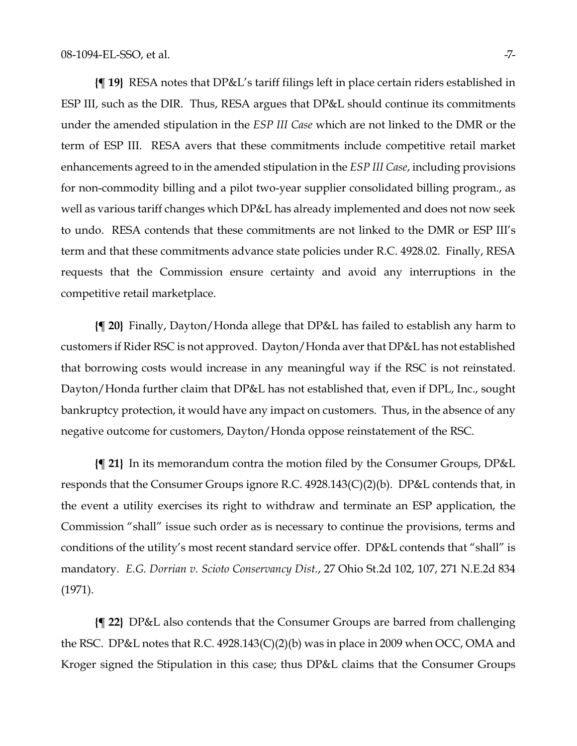**{¶ 19}** RESA notes that DP&L's tariff filings left in place certain riders established in ESP III, such as the DIR. Thus, RESA argues that DP&L should continue its commitments under the amended stipulation in the *ESP III Case* which are not linked to the DMR or the term of ESP III. RESA avers that these commitments include competitive retail market enhancements agreed to in the amended stipulation in the *ESP III Case*, including provisions for non-commodity billing and a pilot two-year supplier consolidated billing program., as well as various tariff changes which DP&L has already implemented and does not now seek to undo. RESA contends that these commitments are not linked to the DMR or ESP III's term and that these commitments advance state policies under R.C. 4928.02. Finally, RESA requests that the Commission ensure certainty and avoid any interruptions in the competitive retail marketplace.

**{¶ 20}** Finally, Dayton/Honda allege that DP&L has failed to establish any harm to customers if Rider RSC is not approved. Dayton/Honda aver that DP&L has not established that borrowing costs would increase in any meaningful way if the RSC is not reinstated. Dayton/Honda further claim that DP&L has not established that, even if DPL, Inc., sought bankruptcy protection, it would have any impact on customers. Thus, in the absence of any negative outcome for customers, Dayton/Honda oppose reinstatement of the RSC.

**{¶ 21}** In its memorandum contra the motion filed by the Consumer Groups, DP&L responds that the Consumer Groups ignore R.C. 4928.143(C)(2)(b). DP&L contends that, in the event a utility exercises its right to withdraw and terminate an ESP application, the Commission "shall" issue such order as is necessary to continue the provisions, terms and conditions of the utility's most recent standard service offer. DP&L contends that "shall" is mandatory. *E.G. Dorrian v. Scioto Conservancy Dist.*, 27 Ohio St.2d 102, 107, 271 N.E.2d 834 (1971).

**{¶ 22}** DP&L also contends that the Consumer Groups are barred from challenging the RSC. DP&L notes that R.C. 4928.143(C)(2)(b) was in place in 2009 when OCC, OMA and Kroger signed the Stipulation in this case; thus DP&L claims that the Consumer Groups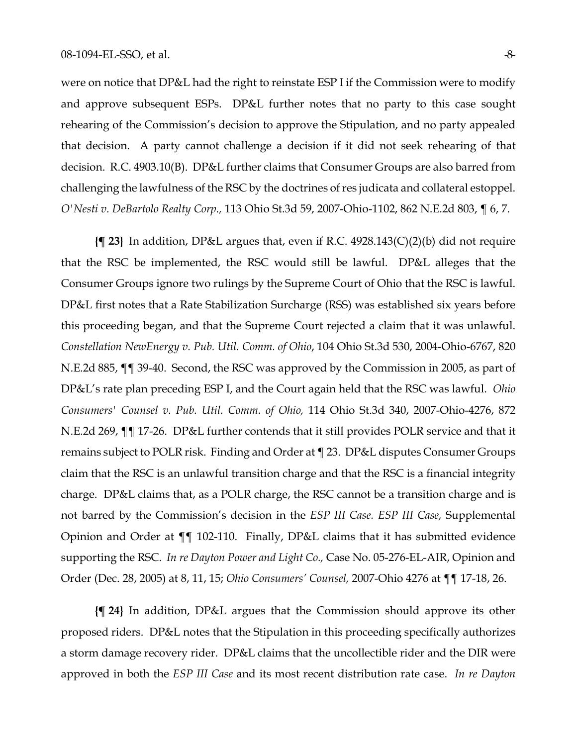were on notice that DP&L had the right to reinstate ESP I if the Commission were to modify and approve subsequent ESPs. DP&L further notes that no party to this case sought rehearing of the Commission's decision to approve the Stipulation, and no party appealed that decision. A party cannot challenge a decision if it did not seek rehearing of that decision. R.C. 4903.10(B). DP&L further claims that Consumer Groups are also barred from challenging the lawfulness of the RSC by the doctrines of res judicata and collateral estoppel. *O'Nesti v. DeBartolo Realty Corp.,* 113 Ohio St.3d 59, 2007-Ohio-1102, 862 N.E.2d 803, ¶ 6, 7.

**{¶ 23}** In addition, DP&L argues that, even if R.C. 4928.143(C)(2)(b) did not require that the RSC be implemented, the RSC would still be lawful. DP&L alleges that the Consumer Groups ignore two rulings by the Supreme Court of Ohio that the RSC is lawful. DP&L first notes that a Rate Stabilization Surcharge (RSS) was established six years before this proceeding began, and that the Supreme Court rejected a claim that it was unlawful. *Constellation NewEnergy v. Pub. Util. Comm. of Ohio*, 104 Ohio St.3d 530, 2004-Ohio-6767, 820 N.E.2d 885, ¶¶ 39-40. Second, the RSC was approved by the Commission in 2005, as part of DP&L's rate plan preceding ESP I, and the Court again held that the RSC was lawful. *Ohio Consumers' Counsel v. Pub. Util. Comm. of Ohio,* 114 Ohio St.3d 340, 2007-Ohio-4276, 872 N.E.2d 269, ¶¶ 17-26. DP&L further contends that it still provides POLR service and that it remains subject to POLR risk. Finding and Order at ¶ 23. DP&L disputes Consumer Groups claim that the RSC is an unlawful transition charge and that the RSC is a financial integrity charge. DP&L claims that, as a POLR charge, the RSC cannot be a transition charge and is not barred by the Commission's decision in the *ESP III Case. ESP III Case,* Supplemental Opinion and Order at ¶¶ 102-110. Finally, DP&L claims that it has submitted evidence supporting the RSC. *In re Dayton Power and Light Co.,* Case No. 05-276-EL-AIR, Opinion and Order (Dec. 28, 2005) at 8, 11, 15; *Ohio Consumers' Counsel,* 2007-Ohio 4276 at ¶¶ 17-18, 26.

**{¶ 24}** In addition, DP&L argues that the Commission should approve its other proposed riders. DP&L notes that the Stipulation in this proceeding specifically authorizes a storm damage recovery rider. DP&L claims that the uncollectible rider and the DIR were approved in both the *ESP III Case* and its most recent distribution rate case. *In re Dayton*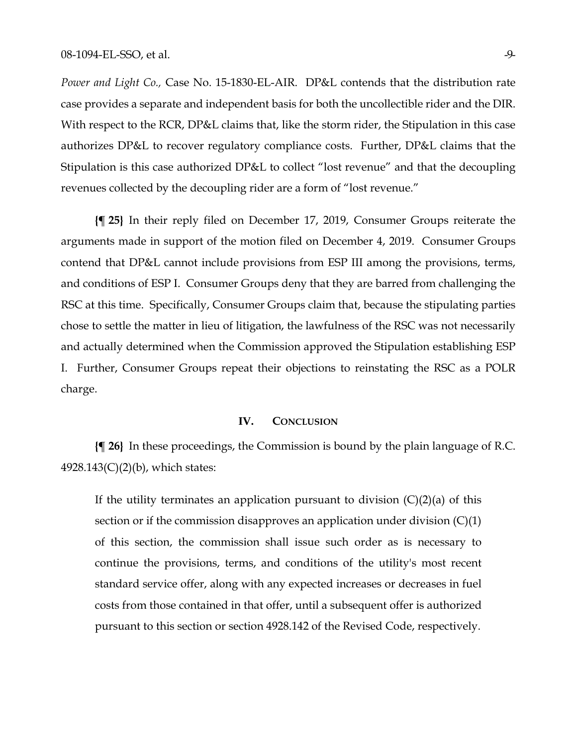*Power and Light Co.,* Case No. 15-1830-EL-AIR. DP&L contends that the distribution rate case provides a separate and independent basis for both the uncollectible rider and the DIR. With respect to the RCR, DP&L claims that, like the storm rider, the Stipulation in this case authorizes DP&L to recover regulatory compliance costs. Further, DP&L claims that the Stipulation is this case authorized DP&L to collect "lost revenue" and that the decoupling revenues collected by the decoupling rider are a form of "lost revenue."

**{¶ 25}** In their reply filed on December 17, 2019, Consumer Groups reiterate the arguments made in support of the motion filed on December 4, 2019. Consumer Groups contend that DP&L cannot include provisions from ESP III among the provisions, terms, and conditions of ESP I. Consumer Groups deny that they are barred from challenging the RSC at this time. Specifically, Consumer Groups claim that, because the stipulating parties chose to settle the matter in lieu of litigation, the lawfulness of the RSC was not necessarily and actually determined when the Commission approved the Stipulation establishing ESP I. Further, Consumer Groups repeat their objections to reinstating the RSC as a POLR charge.

#### **IV. CONCLUSION**

**{¶ 26}** In these proceedings, the Commission is bound by the plain language of R.C. 4928.143(C)(2)(b), which states:

If the utility terminates an application pursuant to division  $(C)(2)(a)$  of this section or if the commission disapproves an application under division (C)(1) of this section, the commission shall issue such order as is necessary to continue the provisions, terms, and conditions of the utility's most recent standard service offer, along with any expected increases or decreases in fuel costs from those contained in that offer, until a subsequent offer is authorized pursuant to this section or section 4928.142 of the Revised Code, respectively.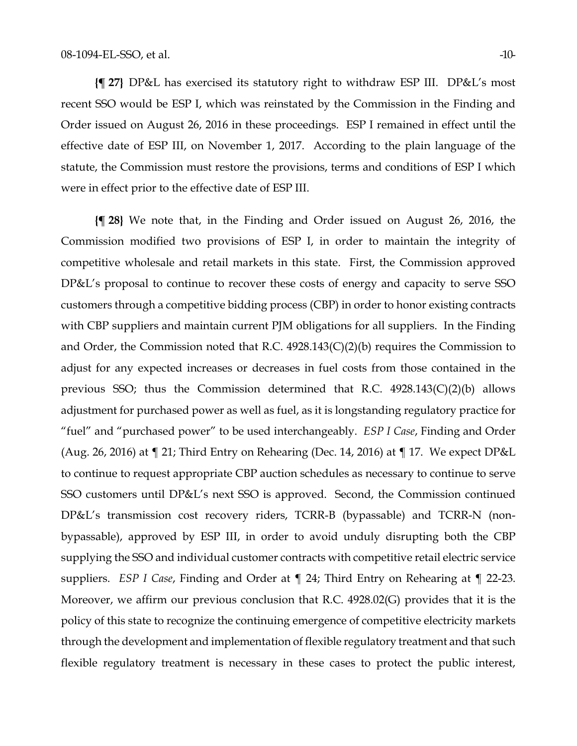**{¶ 27}** DP&L has exercised its statutory right to withdraw ESP III. DP&L's most recent SSO would be ESP I, which was reinstated by the Commission in the Finding and Order issued on August 26, 2016 in these proceedings. ESP I remained in effect until the effective date of ESP III, on November 1, 2017. According to the plain language of the statute, the Commission must restore the provisions, terms and conditions of ESP I which were in effect prior to the effective date of ESP III.

**{¶ 28}** We note that, in the Finding and Order issued on August 26, 2016, the Commission modified two provisions of ESP I, in order to maintain the integrity of competitive wholesale and retail markets in this state. First, the Commission approved DP&L's proposal to continue to recover these costs of energy and capacity to serve SSO customers through a competitive bidding process (CBP) in order to honor existing contracts with CBP suppliers and maintain current PJM obligations for all suppliers. In the Finding and Order, the Commission noted that R.C. 4928.143(C)(2)(b) requires the Commission to adjust for any expected increases or decreases in fuel costs from those contained in the previous SSO; thus the Commission determined that R.C. 4928.143(C)(2)(b) allows adjustment for purchased power as well as fuel, as it is longstanding regulatory practice for "fuel" and "purchased power" to be used interchangeably. *ESP I Case*, Finding and Order (Aug. 26, 2016) at ¶ 21; Third Entry on Rehearing (Dec. 14, 2016) at ¶ 17. We expect DP&L to continue to request appropriate CBP auction schedules as necessary to continue to serve SSO customers until DP&L's next SSO is approved. Second, the Commission continued DP&L's transmission cost recovery riders, TCRR-B (bypassable) and TCRR-N (nonbypassable), approved by ESP III, in order to avoid unduly disrupting both the CBP supplying the SSO and individual customer contracts with competitive retail electric service suppliers. *ESP I Case*, Finding and Order at ¶ 24; Third Entry on Rehearing at ¶ 22-23. Moreover, we affirm our previous conclusion that R.C. 4928.02(G) provides that it is the policy of this state to recognize the continuing emergence of competitive electricity markets through the development and implementation of flexible regulatory treatment and that such flexible regulatory treatment is necessary in these cases to protect the public interest,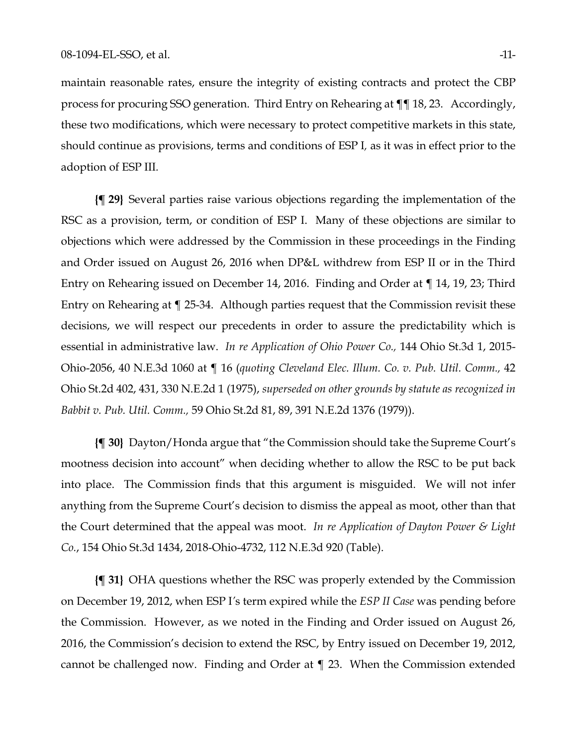maintain reasonable rates, ensure the integrity of existing contracts and protect the CBP process for procuring SSO generation. Third Entry on Rehearing at ¶¶ 18, 23. Accordingly, these two modifications, which were necessary to protect competitive markets in this state, should continue as provisions, terms and conditions of ESP I*,* as it was in effect prior to the adoption of ESP III*.*

**{¶ 29}** Several parties raise various objections regarding the implementation of the RSC as a provision, term, or condition of ESP I. Many of these objections are similar to objections which were addressed by the Commission in these proceedings in the Finding and Order issued on August 26, 2016 when DP&L withdrew from ESP II or in the Third Entry on Rehearing issued on December 14, 2016. Finding and Order at ¶ 14, 19, 23; Third Entry on Rehearing at ¶ 25-34. Although parties request that the Commission revisit these decisions, we will respect our precedents in order to assure the predictability which is essential in administrative law. *In re Application of Ohio Power Co.,* 144 Ohio St.3d 1, 2015- Ohio-2056, 40 N.E.3d 1060 at ¶ 16 (*quoting Cleveland Elec. Illum. Co. v. Pub. Util. Comm.,* 42 Ohio St.2d 402, 431, 330 N.E.2d 1 (1975), *superseded on other grounds by statute as recognized in Babbit v. Pub. Util. Comm.,* 59 Ohio St.2d 81, 89, 391 N.E.2d 1376 (1979)).

**{¶ 30}** Dayton/Honda argue that "the Commission should take the Supreme Court's mootness decision into account" when deciding whether to allow the RSC to be put back into place. The Commission finds that this argument is misguided. We will not infer anything from the Supreme Court's decision to dismiss the appeal as moot, other than that the Court determined that the appeal was moot. *In re Application of Dayton Power & Light Co.*, 154 Ohio St.3d 1434, 2018-Ohio-4732, 112 N.E.3d 920 (Table).

**{¶ 31}** OHA questions whether the RSC was properly extended by the Commission on December 19, 2012, when ESP I*'*s term expired while the *ESP II Case* was pending before the Commission. However, as we noted in the Finding and Order issued on August 26, 2016, the Commission's decision to extend the RSC, by Entry issued on December 19, 2012, cannot be challenged now. Finding and Order at ¶ 23. When the Commission extended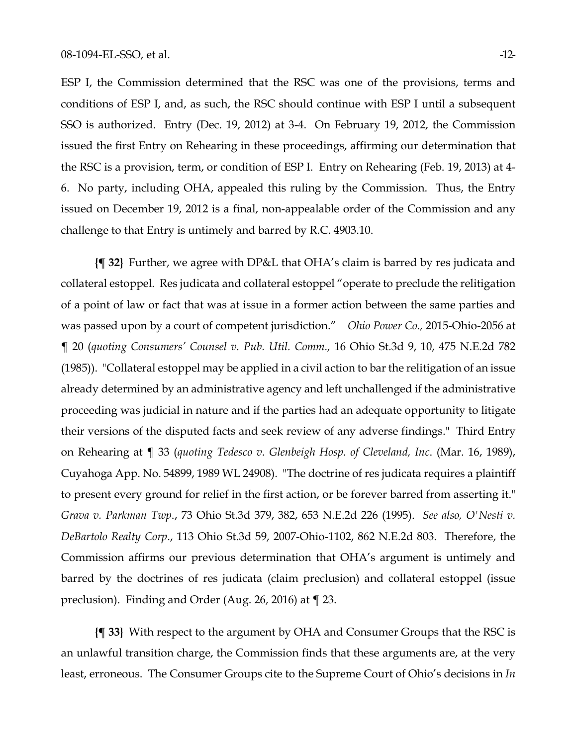ESP I, the Commission determined that the RSC was one of the provisions, terms and conditions of ESP I, and, as such, the RSC should continue with ESP I until a subsequent SSO is authorized. Entry (Dec. 19, 2012) at 3-4. On February 19, 2012, the Commission issued the first Entry on Rehearing in these proceedings, affirming our determination that the RSC is a provision, term, or condition of ESP I. Entry on Rehearing (Feb. 19, 2013) at 4- 6. No party, including OHA, appealed this ruling by the Commission. Thus, the Entry issued on December 19, 2012 is a final, non-appealable order of the Commission and any challenge to that Entry is untimely and barred by R.C. 4903.10.

**{¶ 32}** Further, we agree with DP&L that OHA's claim is barred by res judicata and collateral estoppel. Res judicata and collateral estoppel "operate to preclude the relitigation of a point of law or fact that was at issue in a former action between the same parties and was passed upon by a court of competent jurisdiction." *Ohio Power Co.,* 2015-Ohio-2056 at ¶ 20 (*quoting Consumers' Counsel v. Pub. Util. Comm.,* 16 Ohio St.3d 9, 10, 475 N.E.2d 782 (1985)). "Collateral estoppel may be applied in a civil action to bar the relitigation of an issue already determined by an administrative agency and left unchallenged if the administrative proceeding was judicial in nature and if the parties had an adequate opportunity to litigate their versions of the disputed facts and seek review of any adverse findings." Third Entry on Rehearing at ¶ 33 (*quoting Tedesco v. Glenbeigh Hosp. of Cleveland, Inc*. (Mar. 16, 1989), Cuyahoga App. No. 54899, 1989 WL 24908). "The doctrine of res judicata requires a plaintiff to present every ground for relief in the first action, or be forever barred from asserting it." *Grava v. Parkman Twp*., 73 Ohio St.3d 379, 382, 653 N.E.2d 226 (1995). *See also, O'Nesti v. DeBartolo Realty Corp*., 113 Ohio St.3d 59, 2007-Ohio-1102, 862 N.E.2d 803. Therefore, the Commission affirms our previous determination that OHA's argument is untimely and barred by the doctrines of res judicata (claim preclusion) and collateral estoppel (issue preclusion). Finding and Order (Aug. 26, 2016) at ¶ 23.

**{¶ 33}** With respect to the argument by OHA and Consumer Groups that the RSC is an unlawful transition charge, the Commission finds that these arguments are, at the very least, erroneous. The Consumer Groups cite to the Supreme Court of Ohio's decisions in *In*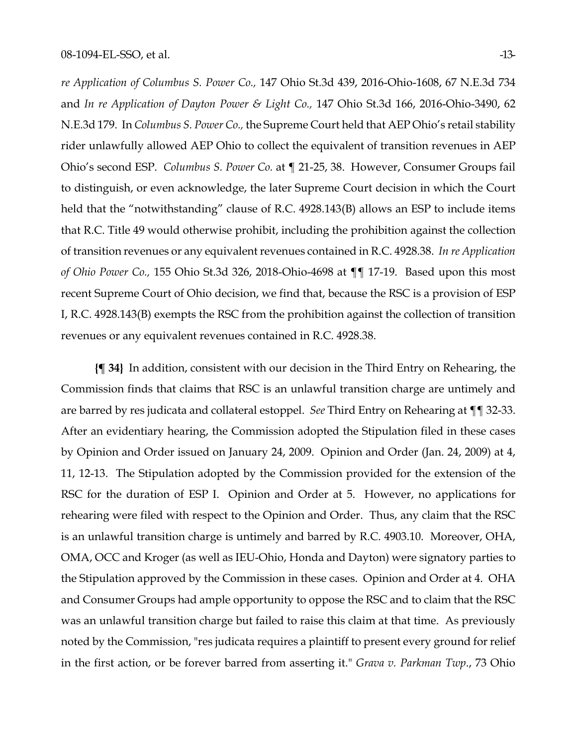*re Application of Columbus S. Power Co.,* 147 Ohio St.3d 439, 2016-Ohio-1608, 67 N.E.3d 734 and *In re Application of Dayton Power & Light Co.,* 147 Ohio St.3d 166, 2016-Ohio-3490, 62 N.E.3d 179. In *Columbus S. Power Co.,* the Supreme Court held that AEP Ohio's retail stability rider unlawfully allowed AEP Ohio to collect the equivalent of transition revenues in AEP Ohio's second ESP. *Columbus S. Power Co.* at ¶ 21-25, 38. However, Consumer Groups fail to distinguish, or even acknowledge, the later Supreme Court decision in which the Court held that the "notwithstanding" clause of R.C. 4928.143(B) allows an ESP to include items that R.C. Title 49 would otherwise prohibit, including the prohibition against the collection of transition revenues or any equivalent revenues contained in R.C. 4928.38. *In re Application of Ohio Power Co.,* 155 Ohio St.3d 326, 2018-Ohio-4698 at ¶¶ 17-19. Based upon this most recent Supreme Court of Ohio decision, we find that, because the RSC is a provision of ESP I, R.C. 4928.143(B) exempts the RSC from the prohibition against the collection of transition revenues or any equivalent revenues contained in R.C. 4928.38.

**{¶ 34}** In addition, consistent with our decision in the Third Entry on Rehearing, the Commission finds that claims that RSC is an unlawful transition charge are untimely and are barred by res judicata and collateral estoppel. *See* Third Entry on Rehearing at ¶¶ 32-33. After an evidentiary hearing, the Commission adopted the Stipulation filed in these cases by Opinion and Order issued on January 24, 2009. Opinion and Order (Jan. 24, 2009) at 4, 11, 12-13. The Stipulation adopted by the Commission provided for the extension of the RSC for the duration of ESP I. Opinion and Order at 5. However, no applications for rehearing were filed with respect to the Opinion and Order. Thus, any claim that the RSC is an unlawful transition charge is untimely and barred by R.C. 4903.10. Moreover, OHA, OMA, OCC and Kroger (as well as IEU-Ohio, Honda and Dayton) were signatory parties to the Stipulation approved by the Commission in these cases. Opinion and Order at 4. OHA and Consumer Groups had ample opportunity to oppose the RSC and to claim that the RSC was an unlawful transition charge but failed to raise this claim at that time. As previously noted by the Commission, "res judicata requires a plaintiff to present every ground for relief in the first action, or be forever barred from asserting it." *Grava v. Parkman Twp*., 73 Ohio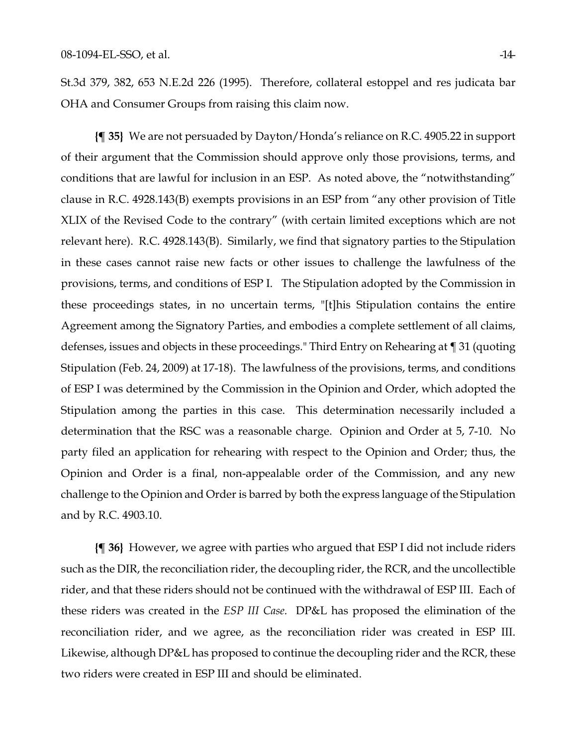St.3d 379, 382, 653 N.E.2d 226 (1995). Therefore, collateral estoppel and res judicata bar OHA and Consumer Groups from raising this claim now.

**{¶ 35}** We are not persuaded by Dayton/Honda's reliance on R.C. 4905.22 in support of their argument that the Commission should approve only those provisions, terms, and conditions that are lawful for inclusion in an ESP. As noted above, the "notwithstanding" clause in R.C. 4928.143(B) exempts provisions in an ESP from "any other provision of Title XLIX of the Revised Code to the contrary" (with certain limited exceptions which are not relevant here). R.C. 4928.143(B). Similarly, we find that signatory parties to the Stipulation in these cases cannot raise new facts or other issues to challenge the lawfulness of the provisions, terms, and conditions of ESP I. The Stipulation adopted by the Commission in these proceedings states, in no uncertain terms, "[t]his Stipulation contains the entire Agreement among the Signatory Parties, and embodies a complete settlement of all claims, defenses, issues and objects in these proceedings." Third Entry on Rehearing at ¶ 31 (quoting Stipulation (Feb. 24, 2009) at 17-18). The lawfulness of the provisions, terms, and conditions of ESP I was determined by the Commission in the Opinion and Order, which adopted the Stipulation among the parties in this case. This determination necessarily included a determination that the RSC was a reasonable charge. Opinion and Order at 5, 7-10. No party filed an application for rehearing with respect to the Opinion and Order; thus, the Opinion and Order is a final, non-appealable order of the Commission, and any new challenge to the Opinion and Order is barred by both the express language of the Stipulation and by R.C. 4903.10.

**{¶ 36}** However, we agree with parties who argued that ESP I did not include riders such as the DIR, the reconciliation rider, the decoupling rider, the RCR, and the uncollectible rider, and that these riders should not be continued with the withdrawal of ESP III. Each of these riders was created in the *ESP III Case.* DP&L has proposed the elimination of the reconciliation rider, and we agree, as the reconciliation rider was created in ESP III. Likewise, although DP&L has proposed to continue the decoupling rider and the RCR, these two riders were created in ESP III and should be eliminated.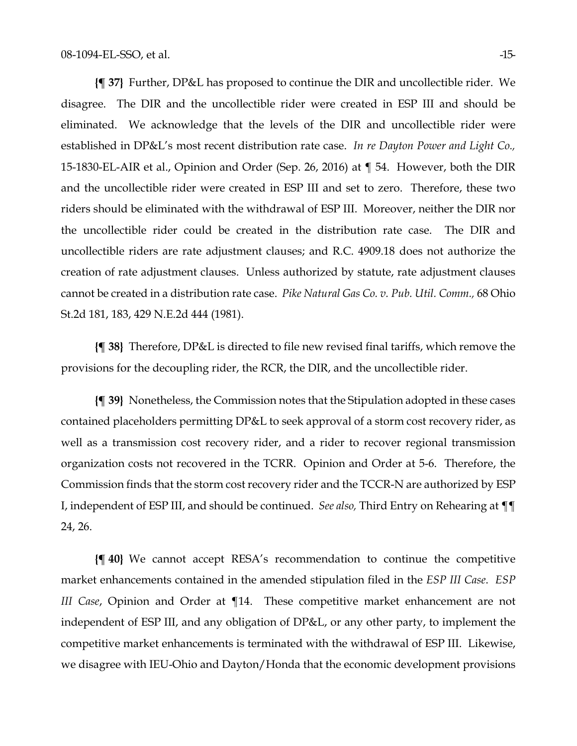**{¶ 37}** Further, DP&L has proposed to continue the DIR and uncollectible rider. We disagree. The DIR and the uncollectible rider were created in ESP III and should be eliminated. We acknowledge that the levels of the DIR and uncollectible rider were established in DP&L's most recent distribution rate case. *In re Dayton Power and Light Co.,* 15-1830-EL-AIR et al., Opinion and Order (Sep. 26, 2016) at ¶ 54. However, both the DIR and the uncollectible rider were created in ESP III and set to zero. Therefore, these two riders should be eliminated with the withdrawal of ESP III. Moreover, neither the DIR nor the uncollectible rider could be created in the distribution rate case. The DIR and uncollectible riders are rate adjustment clauses; and R.C. 4909.18 does not authorize the creation of rate adjustment clauses. Unless authorized by statute, rate adjustment clauses cannot be created in a distribution rate case. *Pike Natural Gas Co. v. Pub. Util. Comm.,* 68 Ohio St.2d 181, 183, 429 N.E.2d 444 (1981).

**{¶ 38}** Therefore, DP&L is directed to file new revised final tariffs, which remove the provisions for the decoupling rider, the RCR, the DIR, and the uncollectible rider.

**{¶ 39}** Nonetheless, the Commission notes that the Stipulation adopted in these cases contained placeholders permitting DP&L to seek approval of a storm cost recovery rider, as well as a transmission cost recovery rider, and a rider to recover regional transmission organization costs not recovered in the TCRR. Opinion and Order at 5-6. Therefore, the Commission finds that the storm cost recovery rider and the TCCR-N are authorized by ESP I, independent of ESP III, and should be continued. *See also,* Third Entry on Rehearing at ¶¶ 24, 26.

**{¶ 40}** We cannot accept RESA's recommendation to continue the competitive market enhancements contained in the amended stipulation filed in the *ESP III Case*. *ESP III Case*, Opinion and Order at ¶14. These competitive market enhancement are not independent of ESP III, and any obligation of DP&L, or any other party, to implement the competitive market enhancements is terminated with the withdrawal of ESP III. Likewise, we disagree with IEU-Ohio and Dayton/Honda that the economic development provisions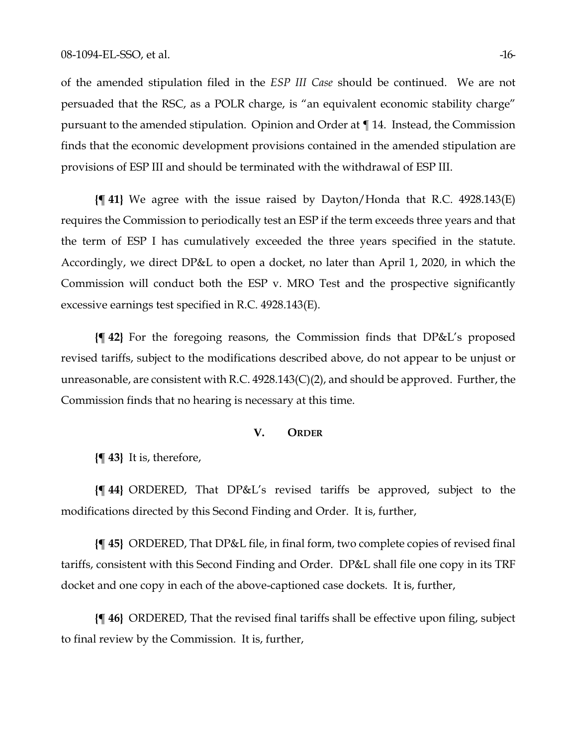of the amended stipulation filed in the *ESP III Case* should be continued. We are not persuaded that the RSC, as a POLR charge, is "an equivalent economic stability charge" pursuant to the amended stipulation. Opinion and Order at ¶ 14. Instead, the Commission finds that the economic development provisions contained in the amended stipulation are provisions of ESP III and should be terminated with the withdrawal of ESP III.

**{¶ 41}** We agree with the issue raised by Dayton/Honda that R.C. 4928.143(E) requires the Commission to periodically test an ESP if the term exceeds three years and that the term of ESP I has cumulatively exceeded the three years specified in the statute. Accordingly, we direct DP&L to open a docket, no later than April 1, 2020, in which the Commission will conduct both the ESP v. MRO Test and the prospective significantly excessive earnings test specified in R.C. 4928.143(E).

**{¶ 42}** For the foregoing reasons, the Commission finds that DP&L's proposed revised tariffs, subject to the modifications described above, do not appear to be unjust or unreasonable, are consistent with R.C. 4928.143(C)(2), and should be approved. Further, the Commission finds that no hearing is necessary at this time.

#### **V. ORDER**

**{¶ 43}** It is, therefore,

**{¶ 44}** ORDERED, That DP&L's revised tariffs be approved, subject to the modifications directed by this Second Finding and Order. It is, further,

**{¶ 45}** ORDERED, That DP&L file, in final form, two complete copies of revised final tariffs, consistent with this Second Finding and Order. DP&L shall file one copy in its TRF docket and one copy in each of the above-captioned case dockets. It is, further,

**{¶ 46}** ORDERED, That the revised final tariffs shall be effective upon filing, subject to final review by the Commission. It is, further,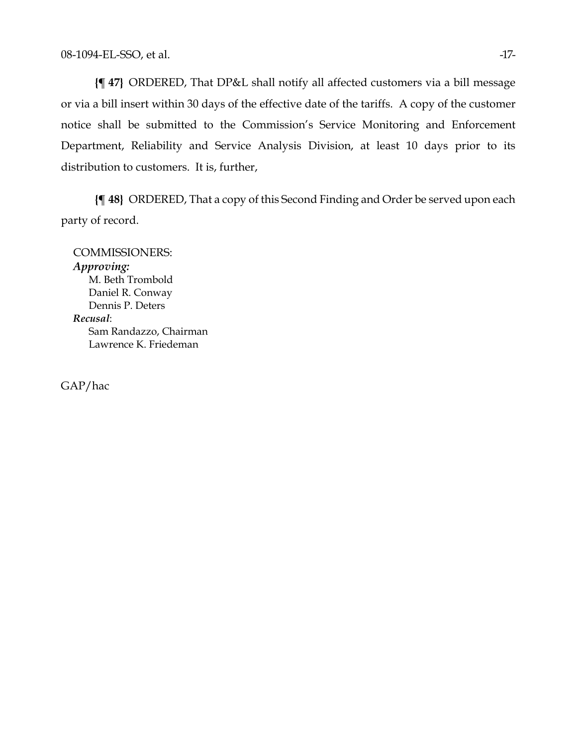**{¶ 47}** ORDERED, That DP&L shall notify all affected customers via a bill message or via a bill insert within 30 days of the effective date of the tariffs. A copy of the customer notice shall be submitted to the Commission's Service Monitoring and Enforcement Department, Reliability and Service Analysis Division, at least 10 days prior to its distribution to customers. It is, further,

**{¶ 48}** ORDERED, That a copy of this Second Finding and Order be served upon each party of record.

COMMISSIONERS: *Approving:*  M. Beth Trombold Daniel R. Conway Dennis P. Deters *Recusal*: Sam Randazzo, Chairman Lawrence K. Friedeman

GAP/hac